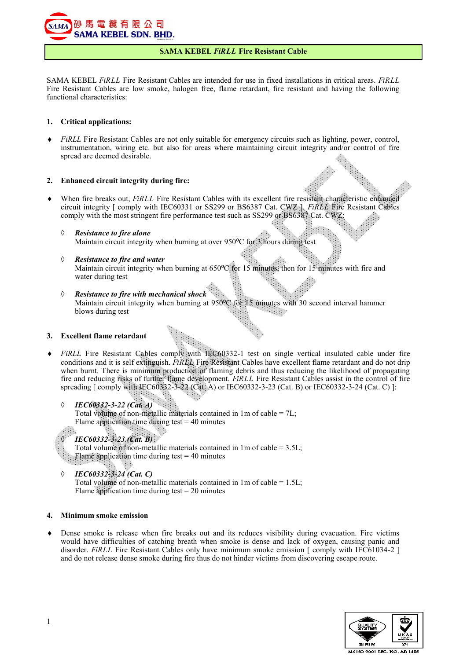

# **SAMA KEBEL** *FiRLL* **Fire Resistant Cable**

SAMA KEBEL *FiRLL* Fire Resistant Cables are intended for use in fixed installations in critical areas. *FiRLL*  Fire Resistant Cables are low smoke, halogen free, flame retardant, fire resistant and having the following functional characteristics:

## **1. Critical applications:**

*FiRLL* Fire Resistant Cables are not only suitable for emergency circuits such as lighting, power, control, instrumentation, wiring etc. but also for areas where maintaining circuit integrity and/or control of fire spread are deemed desirable.

# **2. Enhanced circuit integrity during fire:**

- When fire breaks out, *FiRLL* Fire Resistant Cables with its excellent fire resistant characteristic enhanced circuit integrity [ comply with IEC60331 or SS299 or BS6387 Cat. CWZ ]. *FiRLL* Fire Resistant Cables comply with the most stringent fire performance test such as SS299 or BS6387 Cat. CWZ:
	- *Resistance to fire alone* Maintain circuit integrity when burning at over 950°C for 3 hours during test
	- *Resistance to fire and water* Maintain circuit integrity when burning at  $650^{\circ}$ C for 15 minutes, then for 15 minutes with fire and water during test
	- *Resistance to fire with mechanical shock* Maintain circuit integrity when burning at 950°C for 15 minutes with 30 second interval hammer blows during test  $\sim 100$

# **3. Excellent flame retardant**

*FIRLL* Fire Resistant Cables comply with IEC60332-1 test on single vertical insulated cable under fire conditions and it is self extinguish. *FiRLL* Fire Resistant Cables have excellent flame retardant and do not drip when burnt. There is minimum production of flaming debris and thus reducing the likelihood of propagating fire and reducing risks of further flame development. *FiRLL* Fire Resistant Cables assist in the control of fire spreading [ comply with IEC60332-3-22 (Cat. A) or IEC60332-3-23 (Cat. B) or IEC60332-3-24 (Cat. C) ]:

*IEC60332-3-22 (Cat. A)*

Total volume of non-metallic materials contained in 1m of cable = 7L; Flame application time during test  $= 40$  minutes



Total volume of non-metallic materials contained in  $1m$  of cable =  $3.5L$ ; Flame application time during test = 40 minutes

*IEC60332-3-24 (Cat. C)*

Total volume of non-metallic materials contained in  $1m$  of cable =  $1.5L$ ; Flame application time during test  $= 20$  minutes

## **4. Minimum smoke emission**

 Dense smoke is release when fire breaks out and its reduces visibility during evacuation. Fire victims would have difficulties of catching breath when smoke is dense and lack of oxygen, causing panic and disorder. *FiRLL* Fire Resistant Cables only have minimum smoke emission [ comply with IEC61034-2 ] and do not release dense smoke during fire thus do not hinder victims from discovering escape route.